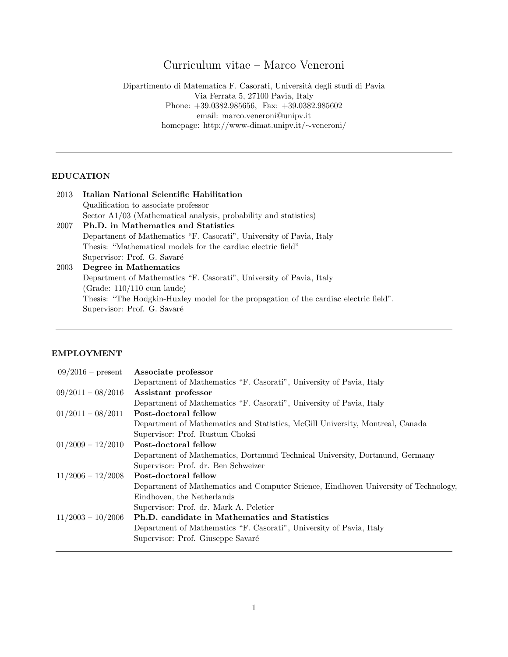# Curriculum vitae – Marco Veneroni

Dipartimento di Matematica F. Casorati, Universit`a degli studi di Pavia Via Ferrata 5, 27100 Pavia, Italy Phone: +39.0382.985656, Fax: +39.0382.985602 email: marco.veneroni@unipv.it homepage: http://www-dimat.unipv.it/∼veneroni/

# EDUCATION

| 2013 | Italian National Scientific Habilitation                                              |
|------|---------------------------------------------------------------------------------------|
|      | Qualification to associate professor                                                  |
|      | Sector A1/03 (Mathematical analysis, probability and statistics)                      |
| 2007 | Ph.D. in Mathematics and Statistics                                                   |
|      | Department of Mathematics "F. Casorati", University of Pavia, Italy                   |
|      | Thesis: "Mathematical models for the cardiac electric field"                          |
|      | Supervisor: Prof. G. Savaré                                                           |
| 2003 | Degree in Mathematics                                                                 |
|      | Department of Mathematics "F. Casorati", University of Pavia, Italy                   |
|      | (Grade: $110/110$ cum laude)                                                          |
|      | Thesis: "The Hodgkin-Huxley model for the propagation of the cardiac electric field". |
|      | Supervisor: Prof. G. Savaré                                                           |

# EMPLOYMENT

| $09/2016$ – present | Associate professor                                                                 |
|---------------------|-------------------------------------------------------------------------------------|
|                     | Department of Mathematics "F. Casorati", University of Pavia, Italy                 |
| $09/2011 - 08/2016$ | Assistant professor                                                                 |
|                     | Department of Mathematics "F. Casorati", University of Pavia, Italy                 |
| $01/2011 - 08/2011$ | Post-doctoral fellow                                                                |
|                     | Department of Mathematics and Statistics, McGill University, Montreal, Canada       |
|                     | Supervisor: Prof. Rustum Choksi                                                     |
| $01/2009 - 12/2010$ | Post-doctoral fellow                                                                |
|                     | Department of Mathematics, Dortmund Technical University, Dortmund, Germany         |
|                     | Supervisor: Prof. dr. Ben Schweizer                                                 |
| $11/2006 - 12/2008$ | Post-doctoral fellow                                                                |
|                     | Department of Mathematics and Computer Science, Eindhoven University of Technology, |
|                     | Eindhoven, the Netherlands                                                          |
|                     | Supervisor: Prof. dr. Mark A. Peletier                                              |
| $11/2003 - 10/2006$ | Ph.D. candidate in Mathematics and Statistics                                       |
|                     | Department of Mathematics "F. Casorati", University of Pavia, Italy                 |
|                     | Supervisor: Prof. Giuseppe Savaré                                                   |
|                     |                                                                                     |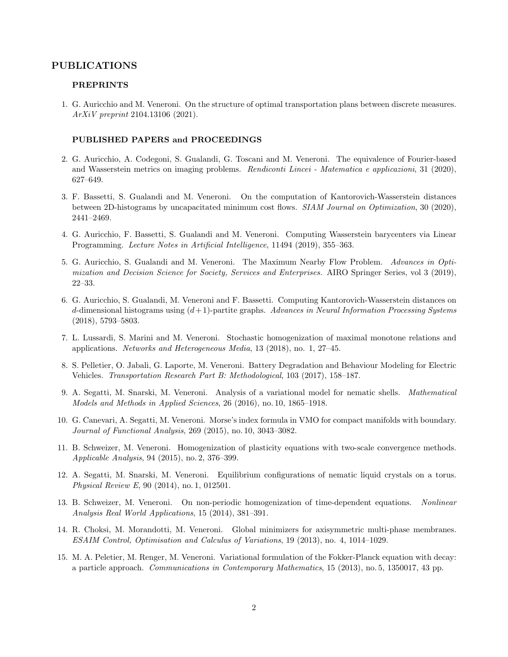## PUBLICATIONS

## PREPRINTS

1. G. Auricchio and M. Veneroni. On the structure of optimal transportation plans between discrete measures. ArXiV preprint 2104.13106 (2021).

#### PUBLISHED PAPERS and PROCEEDINGS

- 2. G. Auricchio, A. Codegoni, S. Gualandi, G. Toscani and M. Veneroni. The equivalence of Fourier-based and Wasserstein metrics on imaging problems. Rendiconti Lincei - Matematica e applicazioni, 31 (2020), 627–649.
- 3. F. Bassetti, S. Gualandi and M. Veneroni. On the computation of Kantorovich-Wasserstein distances between 2D-histograms by uncapacitated minimum cost flows. SIAM Journal on Optimization, 30 (2020), 2441–2469.
- 4. G. Auricchio, F. Bassetti, S. Gualandi and M. Veneroni. Computing Wasserstein barycenters via Linear Programming. Lecture Notes in Artificial Intelligence, 11494 (2019), 355–363.
- 5. G. Auricchio, S. Gualandi and M. Veneroni. The Maximum Nearby Flow Problem. Advances in Optimization and Decision Science for Society, Services and Enterprises. AIRO Springer Series, vol 3 (2019), 22–33.
- 6. G. Auricchio, S. Gualandi, M. Veneroni and F. Bassetti. Computing Kantorovich-Wasserstein distances on d-dimensional histograms using  $(d+1)$ -partite graphs. Advances in Neural Information Processing Systems (2018), 5793–5803.
- 7. L. Lussardi, S. Marini and M. Veneroni. Stochastic homogenization of maximal monotone relations and applications. Networks and Heterogeneous Media, 13 (2018), no. 1, 27–45.
- 8. S. Pelletier, O. Jabali, G. Laporte, M. Veneroni. Battery Degradation and Behaviour Modeling for Electric Vehicles. Transportation Research Part B: Methodological, 103 (2017), 158–187.
- 9. A. Segatti, M. Snarski, M. Veneroni. Analysis of a variational model for nematic shells. Mathematical Models and Methods in Applied Sciences, 26 (2016), no. 10, 1865–1918.
- 10. G. Canevari, A. Segatti, M. Veneroni. Morse's index formula in VMO for compact manifolds with boundary. Journal of Functional Analysis, 269 (2015), no. 10, 3043–3082.
- 11. B. Schweizer, M. Veneroni. Homogenization of plasticity equations with two-scale convergence methods. Applicable Analysis, 94 (2015), no. 2, 376–399.
- 12. A. Segatti, M. Snarski, M. Veneroni. Equilibrium configurations of nematic liquid crystals on a torus. Physical Review E, 90 (2014), no. 1, 012501.
- 13. B. Schweizer, M. Veneroni. On non-periodic homogenization of time-dependent equations. Nonlinear Analysis Real World Applications, 15 (2014), 381–391.
- 14. R. Choksi, M. Morandotti, M. Veneroni. Global minimizers for axisymmetric multi-phase membranes. ESAIM Control, Optimisation and Calculus of Variations, 19 (2013), no. 4, 1014–1029.
- 15. M. A. Peletier, M. Renger, M. Veneroni. Variational formulation of the Fokker-Planck equation with decay: a particle approach. Communications in Contemporary Mathematics, 15 (2013), no. 5, 1350017, 43 pp.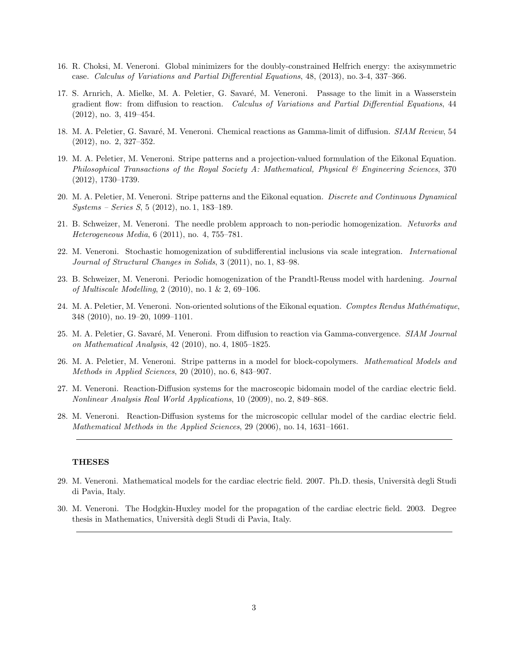- 16. R. Choksi, M. Veneroni. Global minimizers for the doubly-constrained Helfrich energy: the axisymmetric case. Calculus of Variations and Partial Differential Equations, 48, (2013), no. 3-4, 337–366.
- 17. S. Arnrich, A. Mielke, M. A. Peletier, G. Savaré, M. Veneroni. Passage to the limit in a Wasserstein gradient flow: from diffusion to reaction. Calculus of Variations and Partial Differential Equations, 44 (2012), no. 3, 419–454.
- 18. M. A. Peletier, G. Savaré, M. Veneroni. Chemical reactions as Gamma-limit of diffusion. SIAM Review, 54 (2012), no. 2, 327–352.
- 19. M. A. Peletier, M. Veneroni. Stripe patterns and a projection-valued formulation of the Eikonal Equation. Philosophical Transactions of the Royal Society A: Mathematical, Physical & Engineering Sciences, 370 (2012), 1730–1739.
- 20. M. A. Peletier, M. Veneroni. Stripe patterns and the Eikonal equation. Discrete and Continuous Dynamical Systems – Series S, 5 (2012), no. 1, 183–189.
- 21. B. Schweizer, M. Veneroni. The needle problem approach to non-periodic homogenization. Networks and Heterogeneous Media, 6 (2011), no. 4, 755–781.
- 22. M. Veneroni. Stochastic homogenization of subdifferential inclusions via scale integration. International Journal of Structural Changes in Solids, 3 (2011), no. 1, 83–98.
- 23. B. Schweizer, M. Veneroni. Periodic homogenization of the Prandtl-Reuss model with hardening. Journal of Multiscale Modelling, 2 (2010), no. 1 & 2, 69–106.
- 24. M. A. Peletier, M. Veneroni. Non-oriented solutions of the Eikonal equation. Comptes Rendus Mathématique, 348 (2010), no. 19–20, 1099–1101.
- 25. M. A. Peletier, G. Savaré, M. Veneroni. From diffusion to reaction via Gamma-convergence. SIAM Journal on Mathematical Analysis, 42 (2010), no. 4, 1805–1825.
- 26. M. A. Peletier, M. Veneroni. Stripe patterns in a model for block-copolymers. Mathematical Models and Methods in Applied Sciences, 20 (2010), no. 6, 843–907.
- 27. M. Veneroni. Reaction-Diffusion systems for the macroscopic bidomain model of the cardiac electric field. Nonlinear Analysis Real World Applications, 10 (2009), no. 2, 849–868.
- 28. M. Veneroni. Reaction-Diffusion systems for the microscopic cellular model of the cardiac electric field. Mathematical Methods in the Applied Sciences, 29 (2006), no. 14, 1631–1661.

## THESES

- 29. M. Veneroni. Mathematical models for the cardiac electric field. 2007. Ph.D. thesis, Università degli Studi di Pavia, Italy.
- 30. M. Veneroni. The Hodgkin-Huxley model for the propagation of the cardiac electric field. 2003. Degree thesis in Mathematics, Universit`a degli Studi di Pavia, Italy.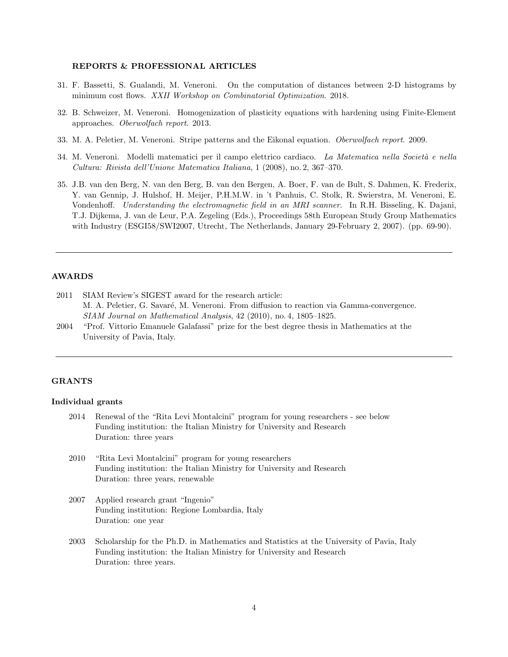### REPORTS & PROFESSIONAL ARTICLES

- 31. F. Bassetti, S. Gualandi, M. Veneroni. On the computation of distances between 2-D histograms by minimum cost flows. XXII Workshop on Combinatorial Optimization. 2018.
- 32. B. Schweizer, M. Veneroni. Homogenization of plasticity equations with hardening using Finite-Element approaches. Oberwolfach report. 2013.
- 33. M. A. Peletier, M. Veneroni. Stripe patterns and the Eikonal equation. Oberwolfach report. 2009.
- 34. M. Veneroni. Modelli matematici per il campo elettrico cardiaco. La Matematica nella Società e nella Cultura: Rivista dell'Unione Matematica Italiana, 1 (2008), no. 2, 367–370.
- 35. J.B. van den Berg, N. van den Berg, B. van den Bergen, A. Boer, F. van de Bult, S. Dahmen, K. Frederix, Y. van Gennip, J. Hulshof, H. Meijer, P.H.M.W. in 't Panhuis, C. Stolk, R. Swierstra, M. Veneroni, E. Vondenhoff. Understanding the electromagnetic field in an MRI scanner. In R.H. Bisseling, K. Dajani, T.J. Dijkema, J. van de Leur, P.A. Zegeling (Eds.), Proceedings 58th European Study Group Mathematics with Industry (ESGI58/SWI2007, Utrecht, The Netherlands, January 29-February 2, 2007). (pp. 69-90).

## AWARDS

- 2011 SIAM Review's SIGEST award for the research article: M. A. Peletier, G. Savaré, M. Veneroni. From diffusion to reaction via Gamma-convergence. SIAM Journal on Mathematical Analysis, 42 (2010), no. 4, 1805–1825.
- 2004 "Prof. Vittorio Emanuele Galafassi" prize for the best degree thesis in Mathematics at the University of Pavia, Italy.

## GRANTS

## Individual grants

- 2014 Renewal of the "Rita Levi Montalcini" program for young researchers see below Funding institution: the Italian Ministry for University and Research Duration: three years
- 2010 "Rita Levi Montalcini" program for young researchers Funding institution: the Italian Ministry for University and Research Duration: three years, renewable
- 2007 Applied research grant "Ingenio" Funding institution: Regione Lombardia, Italy Duration: one year
- 2003 Scholarship for the Ph.D. in Mathematics and Statistics at the University of Pavia, Italy Funding institution: the Italian Ministry for University and Research Duration: three years.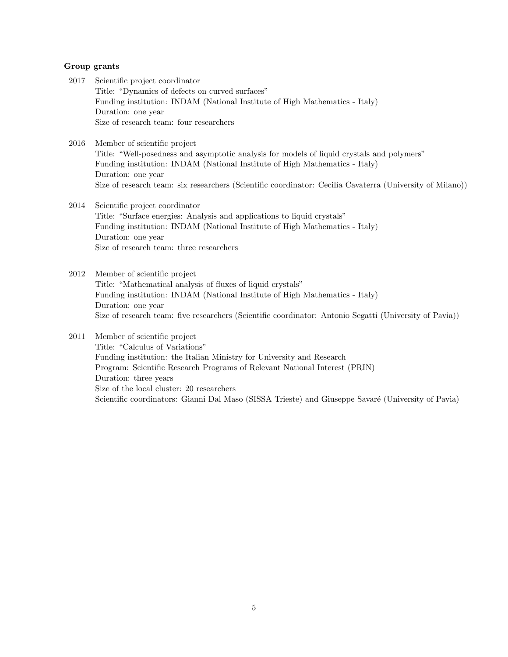## Group grants

- 2017 Scientific project coordinator Title: "Dynamics of defects on curved surfaces" Funding institution: INDAM (National Institute of High Mathematics - Italy) Duration: one year Size of research team: four researchers
- 2016 Member of scientific project Title: "Well-posedness and asymptotic analysis for models of liquid crystals and polymers" Funding institution: INDAM (National Institute of High Mathematics - Italy) Duration: one year Size of research team: six researchers (Scientific coordinator: Cecilia Cavaterra (University of Milano))
- 2014 Scientific project coordinator Title: "Surface energies: Analysis and applications to liquid crystals" Funding institution: INDAM (National Institute of High Mathematics - Italy) Duration: one year Size of research team: three researchers
- 2012 Member of scientific project Title: "Mathematical analysis of fluxes of liquid crystals" Funding institution: INDAM (National Institute of High Mathematics - Italy) Duration: one year Size of research team: five researchers (Scientific coordinator: Antonio Segatti (University of Pavia))
- 2011 Member of scientific project Title: "Calculus of Variations" Funding institution: the Italian Ministry for University and Research Program: Scientific Research Programs of Relevant National Interest (PRIN) Duration: three years Size of the local cluster: 20 researchers Scientific coordinators: Gianni Dal Maso (SISSA Trieste) and Giuseppe Savaré (University of Pavia)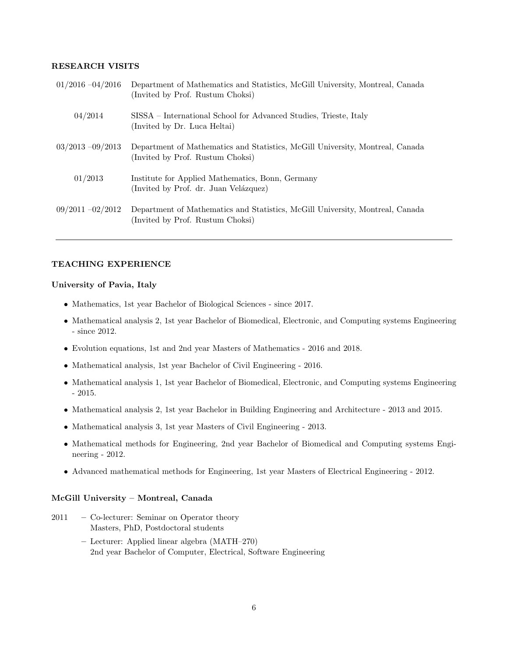## RESEARCH VISITS

| $01/2016 - 04/2016$ | Department of Mathematics and Statistics, McGill University, Montreal, Canada<br>(Invited by Prof. Rustum Choksi) |
|---------------------|-------------------------------------------------------------------------------------------------------------------|
| 04/2014             | SISSA – International School for Advanced Studies, Trieste, Italy<br>(Invited by Dr. Luca Heltai)                 |
| $03/2013 - 09/2013$ | Department of Mathematics and Statistics, McGill University, Montreal, Canada<br>(Invited by Prof. Rustum Choksi) |
| 01/2013             | Institute for Applied Mathematics, Bonn, Germany<br>(Invited by Prof. dr. Juan Velázquez)                         |
| $09/2011 - 02/2012$ | Department of Mathematics and Statistics, McGill University, Montreal, Canada<br>(Invited by Prof. Rustum Choksi) |

## TEACHING EXPERIENCE

## University of Pavia, Italy

- Mathematics, 1st year Bachelor of Biological Sciences since 2017.
- Mathematical analysis 2, 1st year Bachelor of Biomedical, Electronic, and Computing systems Engineering - since 2012.
- Evolution equations, 1st and 2nd year Masters of Mathematics 2016 and 2018.
- Mathematical analysis, 1st year Bachelor of Civil Engineering 2016.
- Mathematical analysis 1, 1st year Bachelor of Biomedical, Electronic, and Computing systems Engineering - 2015.
- Mathematical analysis 2, 1st year Bachelor in Building Engineering and Architecture 2013 and 2015.
- Mathematical analysis 3, 1st year Masters of Civil Engineering 2013.
- Mathematical methods for Engineering, 2nd year Bachelor of Biomedical and Computing systems Engineering - 2012.
- Advanced mathematical methods for Engineering, 1st year Masters of Electrical Engineering 2012.

## McGill University – Montreal, Canada

- 2011 Co-lecturer: Seminar on Operator theory Masters, PhD, Postdoctoral students
	- Lecturer: Applied linear algebra (MATH–270) 2nd year Bachelor of Computer, Electrical, Software Engineering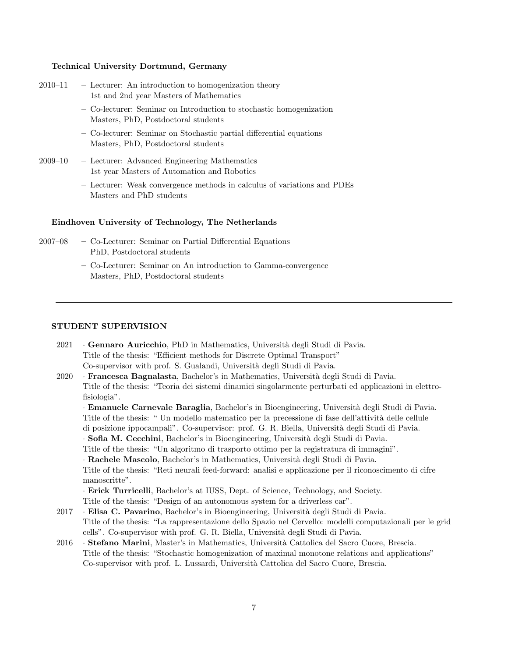## Technical University Dortmund, Germany

| $2010 - 11$ | - Lecturer: An introduction to homogenization theory |
|-------------|------------------------------------------------------|
|             | 1st and 2nd year Masters of Mathematics              |

- Co-lecturer: Seminar on Introduction to stochastic homogenization Masters, PhD, Postdoctoral students
- Co-lecturer: Seminar on Stochastic partial differential equations Masters, PhD, Postdoctoral students
- 2009–10 Lecturer: Advanced Engineering Mathematics 1st year Masters of Automation and Robotics
	- Lecturer: Weak convergence methods in calculus of variations and PDEs Masters and PhD students

## Eindhoven University of Technology, The Netherlands

- 2007–08 Co-Lecturer: Seminar on Partial Differential Equations PhD, Postdoctoral students
	- Co-Lecturer: Seminar on An introduction to Gamma-convergence Masters, PhD, Postdoctoral students

## STUDENT SUPERVISION

- $2021$  · Gennaro Auricchio, PhD in Mathematics, Università degli Studi di Pavia. Title of the thesis: "Efficient methods for Discrete Optimal Transport" Co-supervisor with prof. S. Gualandi, Università degli Studi di Pavia.
- 2020 · **Francesca Bagnalasta**, Bachelor's in Mathematics, Università degli Studi di Pavia. Title of the thesis: "Teoria dei sistemi dinamici singolarmente perturbati ed applicazioni in elettrofisiologia".

· **Emanuele Carnevale Baraglia**, Bachelor's in Bioengineering, Università degli Studi di Pavia. Title of the thesis: " Un modello matematico per la precessione di fase dell'attività delle cellule di posizione ippocampali". Co-supervisor: prof. G. R. Biella, Universit`a degli Studi di Pavia. · Sofia M. Cecchini, Bachelor's in Bioengineering, Università degli Studi di Pavia. Title of the thesis: "Un algoritmo di trasporto ottimo per la registratura di immagini". · Rachele Mascolo, Bachelor's in Mathematics, Università degli Studi di Pavia. Title of the thesis: "Reti neurali feed-forward: analisi e applicazione per il riconoscimento di cifre manoscritte". · Erick Turricelli, Bachelor's at IUSS, Dept. of Science, Technology, and Society.

- Title of the thesis: "Design of an autonomous system for a driverless car".
- 2017 · Elisa C. Pavarino, Bachelor's in Bioengineering, Università degli Studi di Pavia. Title of the thesis: "La rappresentazione dello Spazio nel Cervello: modelli computazionali per le grid cells". Co-supervisor with prof. G. R. Biella, Universit`a degli Studi di Pavia.
- 2016 · Stefano Marini, Master's in Mathematics, Università Cattolica del Sacro Cuore, Brescia. Title of the thesis: "Stochastic homogenization of maximal monotone relations and applications" Co-supervisor with prof. L. Lussardi, Universit`a Cattolica del Sacro Cuore, Brescia.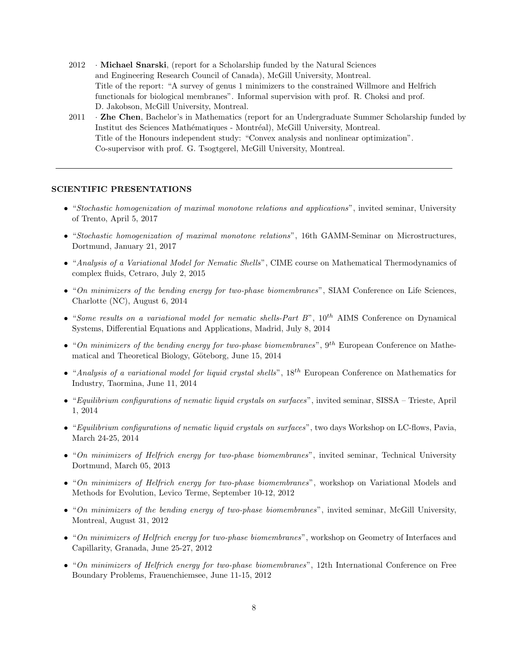- 2012 · Michael Snarski, (report for a Scholarship funded by the Natural Sciences and Engineering Research Council of Canada), McGill University, Montreal. Title of the report: "A survey of genus 1 minimizers to the constrained Willmore and Helfrich functionals for biological membranes". Informal supervision with prof. R. Choksi and prof. D. Jakobson, McGill University, Montreal.
- 2011 Zhe Chen, Bachelor's in Mathematics (report for an Undergraduate Summer Scholarship funded by Institut des Sciences Mathématiques - Montréal), McGill University, Montreal. Title of the Honours independent study: "Convex analysis and nonlinear optimization". Co-supervisor with prof. G. Tsogtgerel, McGill University, Montreal.

## SCIENTIFIC PRESENTATIONS

- "Stochastic homogenization of maximal monotone relations and applications", invited seminar, University of Trento, April 5, 2017
- "Stochastic homogenization of maximal monotone relations", 16th GAMM-Seminar on Microstructures, Dortmund, January 21, 2017
- "Analysis of a Variational Model for Nematic Shells", CIME course on Mathematical Thermodynamics of complex fluids, Cetraro, July 2, 2015
- "On minimizers of the bending energy for two-phase biomembranes", SIAM Conference on Life Sciences, Charlotte (NC), August 6, 2014
- "Some results on a variational model for nematic shells-Part  $B$ ",  $10^{th}$  AIMS Conference on Dynamical Systems, Differential Equations and Applications, Madrid, July 8, 2014
- "On minimizers of the bending energy for two-phase biomembranes",  $9^{th}$  European Conference on Mathematical and Theoretical Biology, Göteborg, June 15, 2014
- "Analysis of a variational model for liquid crystal shells",  $18^{th}$  European Conference on Mathematics for Industry, Taormina, June 11, 2014
- "Equilibrium configurations of nematic liquid crystals on surfaces", invited seminar, SISSA Trieste, April 1, 2014
- "Equilibrium configurations of nematic liquid crystals on surfaces", two days Workshop on LC-flows, Pavia, March 24-25, 2014
- "On minimizers of Helfrich energy for two-phase biomembranes", invited seminar, Technical University Dortmund, March 05, 2013
- "On minimizers of Helfrich energy for two-phase biomembranes", workshop on Variational Models and Methods for Evolution, Levico Terme, September 10-12, 2012
- "On minimizers of the bending energy of two-phase biomembranes", invited seminar, McGill University, Montreal, August 31, 2012
- "On minimizers of Helfrich energy for two-phase biomembranes", workshop on Geometry of Interfaces and Capillarity, Granada, June 25-27, 2012
- "On minimizers of Helfrich energy for two-phase biomembranes", 12th International Conference on Free Boundary Problems, Frauenchiemsee, June 11-15, 2012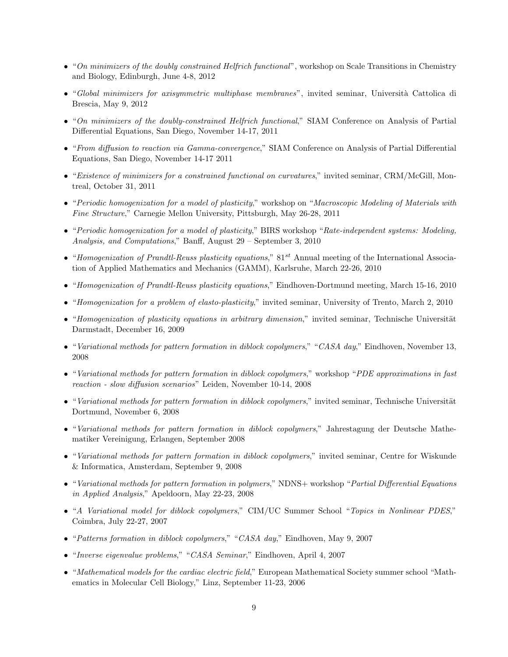- "On minimizers of the doubly constrained Helfrich functional", workshop on Scale Transitions in Chemistry and Biology, Edinburgh, June 4-8, 2012
- "Global minimizers for axisymmetric multiphase membranes", invited seminar, Università Cattolica di Brescia, May 9, 2012
- "On minimizers of the doubly-constrained Helfrich functional," SIAM Conference on Analysis of Partial Differential Equations, San Diego, November 14-17, 2011
- "From diffusion to reaction via Gamma-convergence," SIAM Conference on Analysis of Partial Differential Equations, San Diego, November 14-17 2011
- "Existence of minimizers for a constrained functional on curvatures," invited seminar, CRM/McGill, Montreal, October 31, 2011
- "Periodic homogenization for a model of plasticity," workshop on "Macroscopic Modeling of Materials with Fine Structure," Carnegie Mellon University, Pittsburgh, May 26-28, 2011
- "Periodic homogenization for a model of plasticity," BIRS workshop "Rate-independent systems: Modeling, Analysis, and Computations," Banff, August 29 – September 3, 2010
- "Homogenization of Prandtl-Reuss plasticity equations,"  $81^{st}$  Annual meeting of the International Association of Applied Mathematics and Mechanics (GAMM), Karlsruhe, March 22-26, 2010
- "Homogenization of Prandtl-Reuss plasticity equations," Eindhoven-Dortmund meeting, March 15-16, 2010
- "Homogenization for a problem of elasto-plasticity," invited seminar, University of Trento, March 2, 2010
- "Homogenization of plasticity equations in arbitrary dimension," invited seminar, Technische Universität Darmstadt, December 16, 2009
- "Variational methods for pattern formation in diblock copolymers," "CASA day," Eindhoven, November 13, 2008
- "Variational methods for pattern formation in diblock copolymers," workshop "PDE approximations in fast reaction - slow diffusion scenarios" Leiden, November 10-14, 2008
- "Variational methods for pattern formation in diblock copolymers," invited seminar, Technische Universität Dortmund, November 6, 2008
- "Variational methods for pattern formation in diblock copolymers," Jahrestagung der Deutsche Mathematiker Vereinigung, Erlangen, September 2008
- "Variational methods for pattern formation in diblock copolymers," invited seminar, Centre for Wiskunde & Informatica, Amsterdam, September 9, 2008
- "Variational methods for pattern formation in polymers," NDNS+ workshop "Partial Differential Equations in Applied Analysis," Apeldoorn, May 22-23, 2008
- "A Variational model for diblock copolymers," CIM/UC Summer School "Topics in Nonlinear PDES," Coimbra, July 22-27, 2007
- "Patterns formation in diblock copolymers," "CASA day," Eindhoven, May 9, 2007
- "Inverse eigenvalue problems," "CASA Seminar," Eindhoven, April 4, 2007
- "Mathematical models for the cardiac electric field," European Mathematical Society summer school "Mathematics in Molecular Cell Biology," Linz, September 11-23, 2006